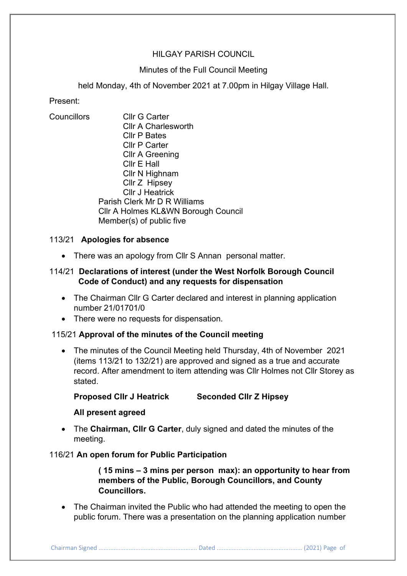# HILGAY PARISH COUNCIL

## Minutes of the Full Council Meeting

held Monday, 4th of November 2021 at 7.00pm in Hilgay Village Hall.

Present:

Councillors Cllr G Carter Cllr A Charlesworth Cllr P Bates Cllr P Carter Cllr A Greening Cllr E Hall Cllr N Highnam Cllr Z Hipsey Cllr J Heatrick Parish Clerk Mr D R Williams Cllr A Holmes KL&WN Borough Council Member(s) of public five

# 113/21 **Apologies for absence**

• There was an apology from Cllr S Annan personal matter.

# 114/21 **Declarations of interest (under the West Norfolk Borough Council Code of Conduct) and any requests for dispensation**

- The Chairman Cllr G Carter declared and interest in planning application number 21/01701/0
- There were no requests for dispensation.

## 115/21 **Approval of the minutes of the Council meeting**

• The minutes of the Council Meeting held Thursday, 4th of November 2021 (items 113/21 to 132/21) are approved and signed as a true and accurate record. After amendment to item attending was Cllr Holmes not Cllr Storey as stated.

**Proposed Cllr J Heatrick Seconded Cllr Z Hipsey**

## **All present agreed**

• The **Chairman, Cllr G Carter**, duly signed and dated the minutes of the meeting.

## 116/21 **An open forum for Public Participation**

**( 15 mins – 3 mins per person max): an opportunity to hear from members of the Public, Borough Councillors, and County Councillors.**

• The Chairman invited the Public who had attended the meeting to open the public forum. There was a presentation on the planning application number

Chairman Signed ........................................................... Dated ................................................... (2021) Page of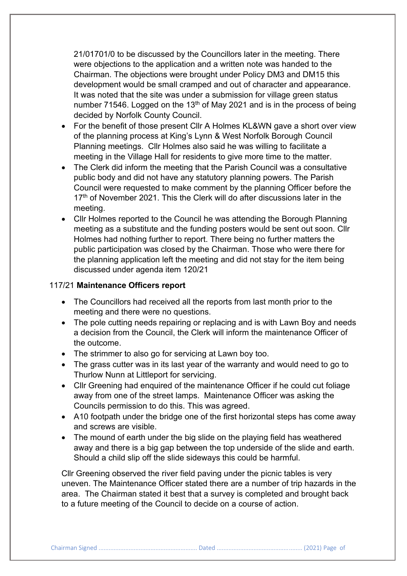21/01701/0 to be discussed by the Councillors later in the meeting. There were objections to the application and a written note was handed to the Chairman. The objections were brought under Policy DM3 and DM15 this development would be small cramped and out of character and appearance. It was noted that the site was under a submission for village green status number 71546. Logged on the 13<sup>th</sup> of May 2021 and is in the process of being decided by Norfolk County Council.

- For the benefit of those present Cllr A Holmes KL&WN gave a short over view of the planning process at King's Lynn & West Norfolk Borough Council Planning meetings. Cllr Holmes also said he was willing to facilitate a meeting in the Village Hall for residents to give more time to the matter.
- The Clerk did inform the meeting that the Parish Council was a consultative public body and did not have any statutory planning powers. The Parish Council were requested to make comment by the planning Officer before the 17<sup>th</sup> of November 2021. This the Clerk will do after discussions later in the meeting.
- Cllr Holmes reported to the Council he was attending the Borough Planning meeting as a substitute and the funding posters would be sent out soon. Cllr Holmes had nothing further to report. There being no further matters the public participation was closed by the Chairman. Those who were there for the planning application left the meeting and did not stay for the item being discussed under agenda item 120/21

#### 117/21 **Maintenance Officers report**

- The Councillors had received all the reports from last month prior to the meeting and there were no questions.
- The pole cutting needs repairing or replacing and is with Lawn Boy and needs a decision from the Council, the Clerk will inform the maintenance Officer of the outcome.
- The strimmer to also go for servicing at Lawn boy too.
- The grass cutter was in its last year of the warranty and would need to go to Thurlow Nunn at Littleport for servicing.
- Cllr Greening had enquired of the maintenance Officer if he could cut foliage away from one of the street lamps. Maintenance Officer was asking the Councils permission to do this. This was agreed.
- A10 footpath under the bridge one of the first horizontal steps has come away and screws are visible.
- The mound of earth under the big slide on the playing field has weathered away and there is a big gap between the top underside of the slide and earth. Should a child slip off the slide sideways this could be harmful.

Cllr Greening observed the river field paving under the picnic tables is very uneven. The Maintenance Officer stated there are a number of trip hazards in the area. The Chairman stated it best that a survey is completed and brought back to a future meeting of the Council to decide on a course of action.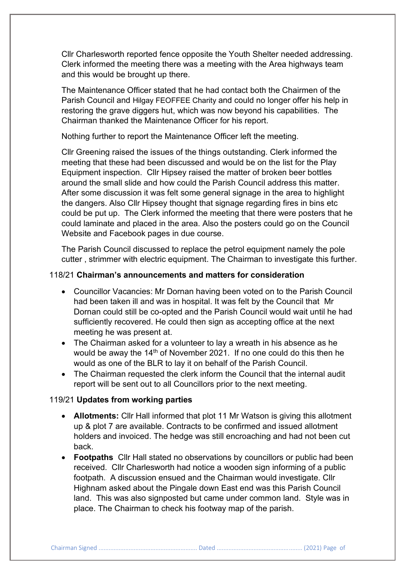Cllr Charlesworth reported fence opposite the Youth Shelter needed addressing. Clerk informed the meeting there was a meeting with the Area highways team and this would be brought up there.

The Maintenance Officer stated that he had contact both the Chairmen of the Parish Council and Hilgay FEOFFEE Charity and could no longer offer his help in restoring the grave diggers hut, which was now beyond his capabilities. The Chairman thanked the Maintenance Officer for his report.

Nothing further to report the Maintenance Officer left the meeting.

Cllr Greening raised the issues of the things outstanding. Clerk informed the meeting that these had been discussed and would be on the list for the Play Equipment inspection. Cllr Hipsey raised the matter of broken beer bottles around the small slide and how could the Parish Council address this matter. After some discussion it was felt some general signage in the area to highlight the dangers. Also Cllr Hipsey thought that signage regarding fires in bins etc could be put up. The Clerk informed the meeting that there were posters that he could laminate and placed in the area. Also the posters could go on the Council Website and Facebook pages in due course.

The Parish Council discussed to replace the petrol equipment namely the pole cutter , strimmer with electric equipment. The Chairman to investigate this further.

#### 118/21 **Chairman's announcements and matters for consideration**

- Councillor Vacancies: Mr Dornan having been voted on to the Parish Council had been taken ill and was in hospital. It was felt by the Council that Mr Dornan could still be co-opted and the Parish Council would wait until he had sufficiently recovered. He could then sign as accepting office at the next meeting he was present at.
- The Chairman asked for a volunteer to lay a wreath in his absence as he would be away the 14<sup>th</sup> of November 2021. If no one could do this then he would as one of the BLR to lay it on behalf of the Parish Council.
- The Chairman requested the clerk inform the Council that the internal audit report will be sent out to all Councillors prior to the next meeting.

#### 119/21 **Updates from working parties**

- **Allotments:** Cllr Hall informed that plot 11 Mr Watson is giving this allotment up & plot 7 are available. Contracts to be confirmed and issued allotment holders and invoiced. The hedge was still encroaching and had not been cut back.
- **Footpaths** Cllr Hall stated no observations by councillors or public had been received. Cllr Charlesworth had notice a wooden sign informing of a public footpath. A discussion ensued and the Chairman would investigate. Cllr Highnam asked about the Pingale down East end was this Parish Council land. This was also signposted but came under common land. Style was in place. The Chairman to check his footway map of the parish.

Chairman Signed ........................................................... Dated ................................................... (2021) Page of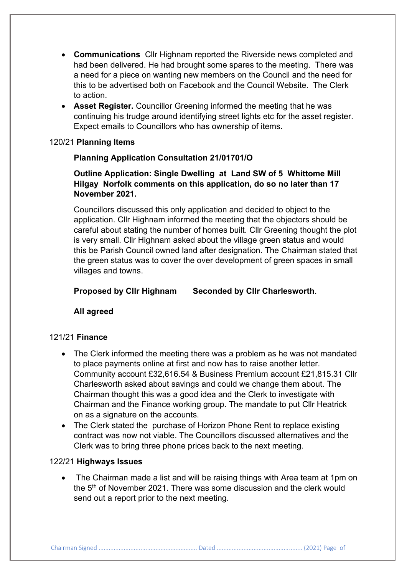- **Communications** Cllr Highnam reported the Riverside news completed and had been delivered. He had brought some spares to the meeting. There was a need for a piece on wanting new members on the Council and the need for this to be advertised both on Facebook and the Council Website. The Clerk to action.
- **Asset Register.** Councillor Greening informed the meeting that he was continuing his trudge around identifying street lights etc for the asset register. Expect emails to Councillors who has ownership of items.

#### 120/21 **Planning Items**

## **Planning Application Consultation 21/01701/O**

# **Outline Application: Single Dwelling at Land SW of 5 Whittome Mill Hilgay Norfolk comments on this application, do so no later than 17 November 2021.**

Councillors discussed this only application and decided to object to the application. Cllr Highnam informed the meeting that the objectors should be careful about stating the number of homes built. Cllr Greening thought the plot is very small. Cllr Highnam asked about the village green status and would this be Parish Council owned land after designation. The Chairman stated that the green status was to cover the over development of green spaces in small villages and towns.

**Proposed by Cllr Highnam Seconded by Cllr Charlesworth**.

**All agreed**

## 121/21 **Finance**

- The Clerk informed the meeting there was a problem as he was not mandated to place payments online at first and now has to raise another letter. Community account £32,616.54 & Business Premium account £21,815.31 Cllr Charlesworth asked about savings and could we change them about. The Chairman thought this was a good idea and the Clerk to investigate with Chairman and the Finance working group. The mandate to put Cllr Heatrick on as a signature on the accounts.
- The Clerk stated the purchase of Horizon Phone Rent to replace existing contract was now not viable. The Councillors discussed alternatives and the Clerk was to bring three phone prices back to the next meeting.

## 122/21 **Highways Issues**

• The Chairman made a list and will be raising things with Area team at 1pm on the 5<sup>th</sup> of November 2021. There was some discussion and the clerk would send out a report prior to the next meeting.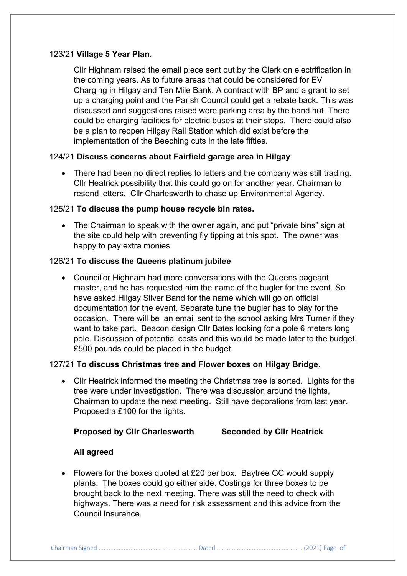## 123/21 **Village 5 Year Plan**.

Cllr Highnam raised the email piece sent out by the Clerk on electrification in the coming years. As to future areas that could be considered for EV Charging in Hilgay and Ten Mile Bank. A contract with BP and a grant to set up a charging point and the Parish Council could get a rebate back. This was discussed and suggestions raised were parking area by the band hut. There could be charging facilities for electric buses at their stops. There could also be a plan to reopen Hilgay Rail Station which did exist before the implementation of the Beeching cuts in the late fifties.

## 124/21 **Discuss concerns about Fairfield garage area in Hilgay**

• There had been no direct replies to letters and the company was still trading. Cllr Heatrick possibility that this could go on for another year. Chairman to resend letters. Cllr Charlesworth to chase up Environmental Agency.

#### 125/21 **To discuss the pump house recycle bin rates.**

• The Chairman to speak with the owner again, and put "private bins" sign at the site could help with preventing fly tipping at this spot. The owner was happy to pay extra monies.

## 126/21 **To discuss the Queens platinum jubilee**

• Councillor Highnam had more conversations with the Queens pageant master, and he has requested him the name of the bugler for the event. So have asked Hilgay Silver Band for the name which will go on official documentation for the event. Separate tune the bugler has to play for the occasion. There will be an email sent to the school asking Mrs Turner if they want to take part. Beacon design Cllr Bates looking for a pole 6 meters long pole. Discussion of potential costs and this would be made later to the budget. £500 pounds could be placed in the budget.

## 127/21 **To discuss Christmas tree and Flower boxes on Hilgay Bridge**.

• Cllr Heatrick informed the meeting the Christmas tree is sorted. Lights for the tree were under investigation. There was discussion around the lights, Chairman to update the next meeting. Still have decorations from last year. Proposed a £100 for the lights.

**Proposed by Cllr Charlesworth Seconded by Cllr Heatrick**

## **All agreed**

• Flowers for the boxes quoted at £20 per box. Baytree GC would supply plants. The boxes could go either side. Costings for three boxes to be brought back to the next meeting. There was still the need to check with highways. There was a need for risk assessment and this advice from the Council Insurance.

Chairman Signed ........................................................... Dated ................................................... (2021) Page of